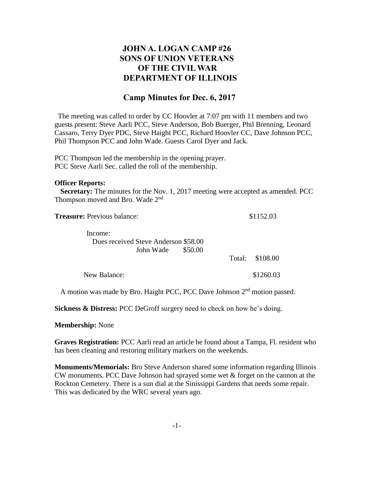## **JOHN A. LOGAN CAMP #26 SONS OF UNION VETERANS OF THE CIVIL WAR DEPARTMENT OF ILLINOIS**

## **Camp Minutes for Dec. 6, 2017**

The meeting was called to order by CC Hoovler at 7:07 pm with 11 members and two guests present: Steve Aarli PCC, Steve Anderson, Bob Buerger, Phil Brenning, Leonard Cassaro, Terry Dyer PDC, Steve Haight PCC, Richard Hoovler CC, Dave Johnson PCC, Phil Thompson PCC and John Wade. Guests Carol Dyer and Jack.

PCC Thompson led the membership in the opening prayer. PCC Steve Aarli Sec. called the roll of the membership.

## **Officer Reports:**

 **Secretary:** The minutes for the Nov. 1, 2017 meeting were accepted as amended. PCC Thompson moved and Bro. Wade 2<sup>nd</sup>

| <b>Treasure:</b> Previous balance:   |         | \$1152.03 |                 |
|--------------------------------------|---------|-----------|-----------------|
| Income:                              |         |           |                 |
| Dues received Steve Anderson \$58.00 |         |           |                 |
| John Wade                            | \$50.00 |           |                 |
|                                      |         |           | Total: \$108.00 |
| New Balance:                         |         |           | \$1260.03       |

A motion was made by Bro. Haight PCC, PCC Dave Johnson 2<sup>nd</sup> motion passed.

**Sickness & Distress:** PCC DeGroff surgery need to check on how he's doing.

**Membership:** None

**Graves Registration:** PCC Aarli read an article he found about a Tampa, Fl. resident who has been cleaning and restoring military markers on the weekends.

**Monuments/Memorials:** Bro Steve Anderson shared some information regarding Illinois CW monuments. PCC Dave Johnson had sprayed some wet & forget on the cannon at the Rockton Cemetery. There is a sun dial at the Sinissippi Gardens that needs some repair. This was dedicated by the WRC several years ago.